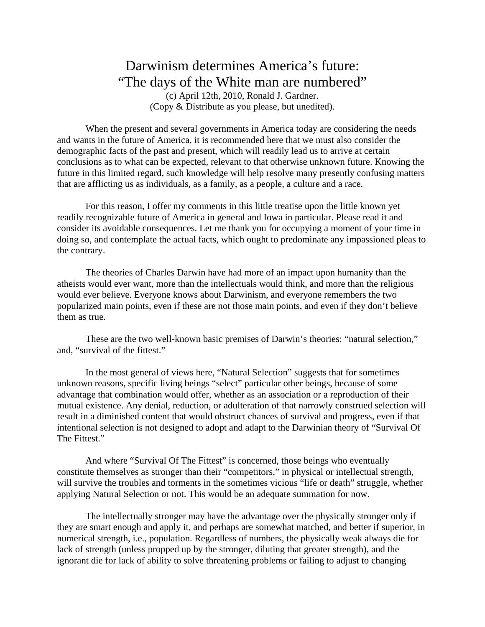## Darwinism determines America's future: "The days of the White man are numbered"

(c) April 12th, 2010, Ronald J. Gardner. (Copy & Distribute as you please, but unedited).

When the present and several governments in America today are considering the needs and wants in the future of America, it is recommended here that we must also consider the demographic facts of the past and present, which will readily lead us to arrive at certain conclusions as to what can be expected, relevant to that otherwise unknown future. Knowing the future in this limited regard, such knowledge will help resolve many presently confusing matters that are afflicting us as individuals, as a family, as a people, a culture and a race.

For this reason, I offer my comments in this little treatise upon the little known yet readily recognizable future of America in general and Iowa in particular. Please read it and consider its avoidable consequences. Let me thank you for occupying a moment of your time in doing so, and contemplate the actual facts, which ought to predominate any impassioned pleas to the contrary.

The theories of Charles Darwin have had more of an impact upon humanity than the atheists would ever want, more than the intellectuals would think, and more than the religious would ever believe. Everyone knows about Darwinism, and everyone remembers the two popularized main points, even if these are not those main points, and even if they don't believe them as true.

These are the two well-known basic premises of Darwin's theories: "natural selection," and, "survival of the fittest."

In the most general of views here, "Natural Selection" suggests that for sometimes unknown reasons, specific living beings "select" particular other beings, because of some advantage that combination would offer, whether as an association or a reproduction of their mutual existence. Any denial, reduction, or adulteration of that narrowly construed selection will result in a diminished content that would obstruct chances of survival and progress, even if that intentional selection is not designed to adopt and adapt to the Darwinian theory of "Survival Of The Fittest."

And where "Survival Of The Fittest" is concerned, those beings who eventually constitute themselves as stronger than their "competitors," in physical or intellectual strength, will survive the troubles and torments in the sometimes vicious "life or death" struggle, whether applying Natural Selection or not. This would be an adequate summation for now.

The intellectually stronger may have the advantage over the physically stronger only if they are smart enough and apply it, and perhaps are somewhat matched, and better if superior, in numerical strength, i.e., population. Regardless of numbers, the physically weak always die for lack of strength (unless propped up by the stronger, diluting that greater strength), and the ignorant die for lack of ability to solve threatening problems or failing to adjust to changing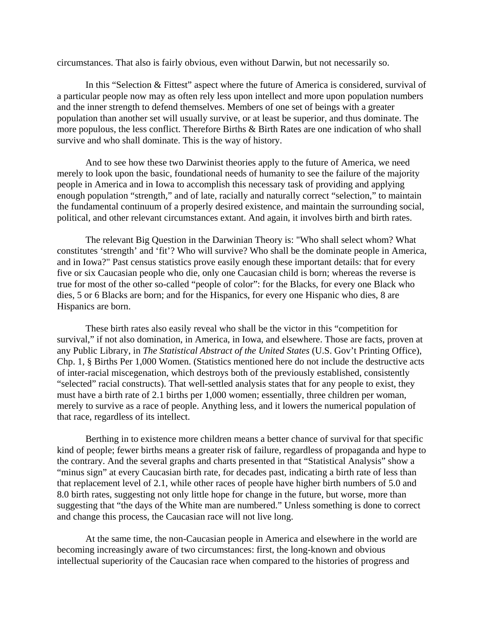circumstances. That also is fairly obvious, even without Darwin, but not necessarily so.

In this "Selection & Fittest" aspect where the future of America is considered, survival of a particular people now may as often rely less upon intellect and more upon population numbers and the inner strength to defend themselves. Members of one set of beings with a greater population than another set will usually survive, or at least be superior, and thus dominate. The more populous, the less conflict. Therefore Births & Birth Rates are one indication of who shall survive and who shall dominate. This is the way of history.

And to see how these two Darwinist theories apply to the future of America, we need merely to look upon the basic, foundational needs of humanity to see the failure of the majority people in America and in Iowa to accomplish this necessary task of providing and applying enough population "strength," and of late, racially and naturally correct "selection," to maintain the fundamental continuum of a properly desired existence, and maintain the surrounding social, political, and other relevant circumstances extant. And again, it involves birth and birth rates.

The relevant Big Question in the Darwinian Theory is: "Who shall select whom? What constitutes 'strength' and 'fit'? Who will survive? Who shall be the dominate people in America, and in Iowa?" Past census statistics prove easily enough these important details: that for every five or six Caucasian people who die, only one Caucasian child is born; whereas the reverse is true for most of the other so-called "people of color": for the Blacks, for every one Black who dies, 5 or 6 Blacks are born; and for the Hispanics, for every one Hispanic who dies, 8 are Hispanics are born.

These birth rates also easily reveal who shall be the victor in this "competition for survival," if not also domination, in America, in Iowa, and elsewhere. Those are facts, proven at any Public Library, in *The Statistical Abstract of the United States* (U.S. Gov't Printing Office), Chp. 1, § Births Per 1,000 Women. (Statistics mentioned here do not include the destructive acts of inter-racial miscegenation, which destroys both of the previously established, consistently "selected" racial constructs). That well-settled analysis states that for any people to exist, they must have a birth rate of 2.1 births per 1,000 women; essentially, three children per woman, merely to survive as a race of people. Anything less, and it lowers the numerical population of that race, regardless of its intellect.

Berthing in to existence more children means a better chance of survival for that specific kind of people; fewer births means a greater risk of failure, regardless of propaganda and hype to the contrary. And the several graphs and charts presented in that "Statistical Analysis" show a "minus sign" at every Caucasian birth rate, for decades past, indicating a birth rate of less than that replacement level of 2.1, while other races of people have higher birth numbers of 5.0 and 8.0 birth rates, suggesting not only little hope for change in the future, but worse, more than suggesting that "the days of the White man are numbered." Unless something is done to correct and change this process, the Caucasian race will not live long.

At the same time, the non-Caucasian people in America and elsewhere in the world are becoming increasingly aware of two circumstances: first, the long-known and obvious intellectual superiority of the Caucasian race when compared to the histories of progress and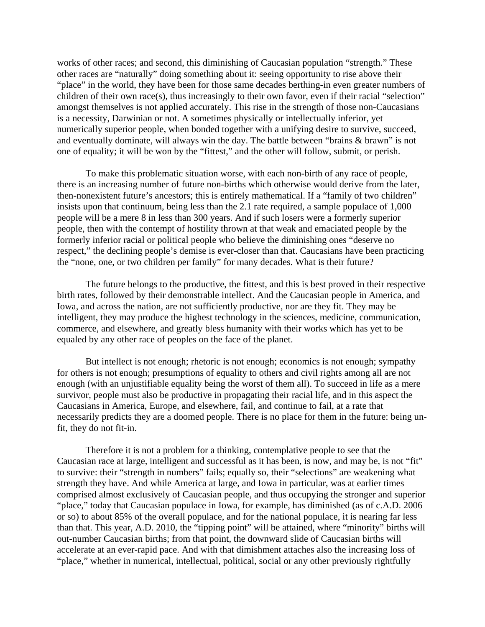works of other races; and second, this diminishing of Caucasian population "strength." These other races are "naturally" doing something about it: seeing opportunity to rise above their "place" in the world, they have been for those same decades berthing-in even greater numbers of children of their own race(s), thus increasingly to their own favor, even if their racial "selection" amongst themselves is not applied accurately. This rise in the strength of those non-Caucasians is a necessity, Darwinian or not. A sometimes physically or intellectually inferior, yet numerically superior people, when bonded together with a unifying desire to survive, succeed, and eventually dominate, will always win the day. The battle between "brains & brawn" is not one of equality; it will be won by the "fittest," and the other will follow, submit, or perish.

To make this problematic situation worse, with each non-birth of any race of people, there is an increasing number of future non-births which otherwise would derive from the later, then-nonexistent future's ancestors; this is entirely mathematical. If a "family of two children" insists upon that continuum, being less than the 2.1 rate required, a sample populace of 1,000 people will be a mere 8 in less than 300 years. And if such losers were a formerly superior people, then with the contempt of hostility thrown at that weak and emaciated people by the formerly inferior racial or political people who believe the diminishing ones "deserve no respect," the declining people's demise is ever-closer than that. Caucasians have been practicing the "none, one, or two children per family" for many decades. What is their future?

The future belongs to the productive, the fittest, and this is best proved in their respective birth rates, followed by their demonstrable intellect. And the Caucasian people in America, and Iowa, and across the nation, are not sufficiently productive, nor are they fit. They may be intelligent, they may produce the highest technology in the sciences, medicine, communication, commerce, and elsewhere, and greatly bless humanity with their works which has yet to be equaled by any other race of peoples on the face of the planet.

But intellect is not enough; rhetoric is not enough; economics is not enough; sympathy for others is not enough; presumptions of equality to others and civil rights among all are not enough (with an unjustifiable equality being the worst of them all). To succeed in life as a mere survivor, people must also be productive in propagating their racial life, and in this aspect the Caucasians in America, Europe, and elsewhere, fail, and continue to fail, at a rate that necessarily predicts they are a doomed people. There is no place for them in the future: being unfit, they do not fit-in.

Therefore it is not a problem for a thinking, contemplative people to see that the Caucasian race at large, intelligent and successful as it has been, is now, and may be, is not "fit" to survive: their "strength in numbers" fails; equally so, their "selections" are weakening what strength they have. And while America at large, and Iowa in particular, was at earlier times comprised almost exclusively of Caucasian people, and thus occupying the stronger and superior "place," today that Caucasian populace in Iowa, for example, has diminished (as of c.A.D. 2006 or so) to about 85% of the overall populace, and for the national populace, it is nearing far less than that. This year, A.D. 2010, the "tipping point" will be attained, where "minority" births will out-number Caucasian births; from that point, the downward slide of Caucasian births will accelerate at an ever-rapid pace. And with that dimishment attaches also the increasing loss of "place," whether in numerical, intellectual, political, social or any other previously rightfully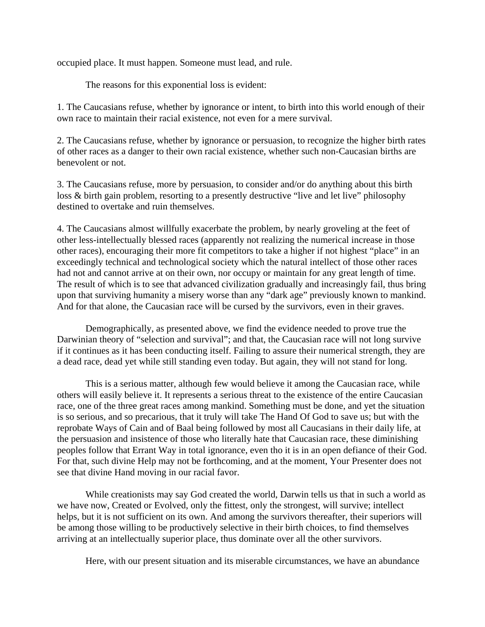occupied place. It must happen. Someone must lead, and rule.

The reasons for this exponential loss is evident:

1. The Caucasians refuse, whether by ignorance or intent, to birth into this world enough of their own race to maintain their racial existence, not even for a mere survival.

2. The Caucasians refuse, whether by ignorance or persuasion, to recognize the higher birth rates of other races as a danger to their own racial existence, whether such non-Caucasian births are benevolent or not.

3. The Caucasians refuse, more by persuasion, to consider and/or do anything about this birth loss & birth gain problem, resorting to a presently destructive "live and let live" philosophy destined to overtake and ruin themselves.

4. The Caucasians almost willfully exacerbate the problem, by nearly groveling at the feet of other less-intellectually blessed races (apparently not realizing the numerical increase in those other races), encouraging their more fit competitors to take a higher if not highest "place" in an exceedingly technical and technological society which the natural intellect of those other races had not and cannot arrive at on their own, nor occupy or maintain for any great length of time. The result of which is to see that advanced civilization gradually and increasingly fail, thus bring upon that surviving humanity a misery worse than any "dark age" previously known to mankind. And for that alone, the Caucasian race will be cursed by the survivors, even in their graves.

Demographically, as presented above, we find the evidence needed to prove true the Darwinian theory of "selection and survival"; and that, the Caucasian race will not long survive if it continues as it has been conducting itself. Failing to assure their numerical strength, they are a dead race, dead yet while still standing even today. But again, they will not stand for long.

This is a serious matter, although few would believe it among the Caucasian race, while others will easily believe it. It represents a serious threat to the existence of the entire Caucasian race, one of the three great races among mankind. Something must be done, and yet the situation is so serious, and so precarious, that it truly will take The Hand Of God to save us; but with the reprobate Ways of Cain and of Baal being followed by most all Caucasians in their daily life, at the persuasion and insistence of those who literally hate that Caucasian race, these diminishing peoples follow that Errant Way in total ignorance, even tho it is in an open defiance of their God. For that, such divine Help may not be forthcoming, and at the moment, Your Presenter does not see that divine Hand moving in our racial favor.

While creationists may say God created the world, Darwin tells us that in such a world as we have now, Created or Evolved, only the fittest, only the strongest, will survive; intellect helps, but it is not sufficient on its own. And among the survivors thereafter, their superiors will be among those willing to be productively selective in their birth choices, to find themselves arriving at an intellectually superior place, thus dominate over all the other survivors.

Here, with our present situation and its miserable circumstances, we have an abundance